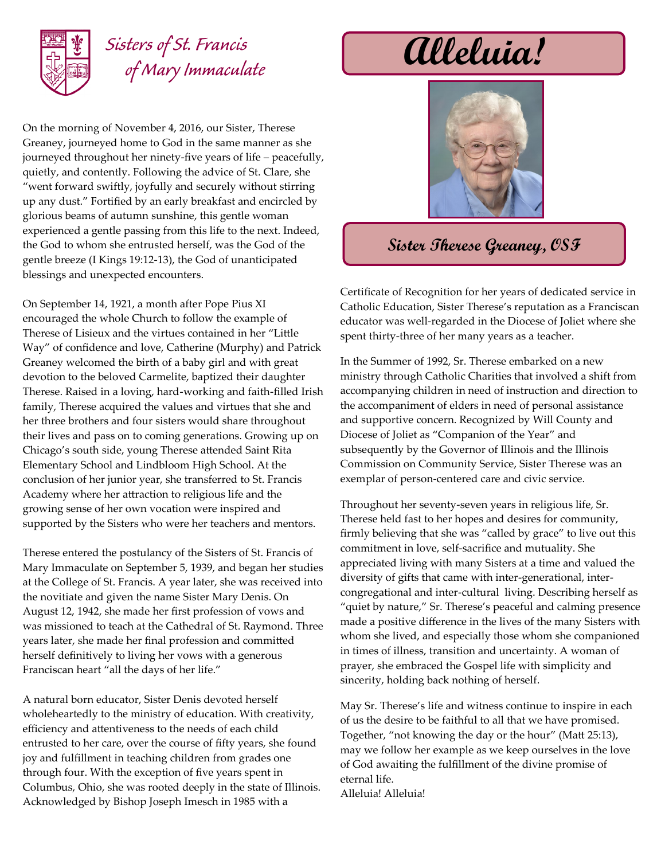

## *Sisters of St. Francis of Mary Immaculate*

On the morning of November 4, 2016, our Sister, Therese Greaney, journeyed home to God in the same manner as she journeyed throughout her ninety-five years of life – peacefully, quietly, and contently. Following the advice of St. Clare, she "went forward swiftly, joyfully and securely without stirring up any dust." Fortified by an early breakfast and encircled by glorious beams of autumn sunshine, this gentle woman experienced a gentle passing from this life to the next. Indeed, the God to whom she entrusted herself, was the God of the gentle breeze (I Kings 19:12-13), the God of unanticipated blessings and unexpected encounters.

On September 14, 1921, a month after Pope Pius XI encouraged the whole Church to follow the example of Therese of Lisieux and the virtues contained in her "Little Way" of confidence and love, Catherine (Murphy) and Patrick Greaney welcomed the birth of a baby girl and with great devotion to the beloved Carmelite, baptized their daughter Therese. Raised in a loving, hard-working and faith-filled Irish family, Therese acquired the values and virtues that she and her three brothers and four sisters would share throughout their lives and pass on to coming generations. Growing up on Chicago's south side, young Therese attended Saint Rita Elementary School and Lindbloom High School. At the conclusion of her junior year, she transferred to St. Francis Academy where her attraction to religious life and the growing sense of her own vocation were inspired and supported by the Sisters who were her teachers and mentors.

Therese entered the postulancy of the Sisters of St. Francis of Mary Immaculate on September 5, 1939, and began her studies at the College of St. Francis. A year later, she was received into the novitiate and given the name Sister Mary Denis. On August 12, 1942, she made her first profession of vows and was missioned to teach at the Cathedral of St. Raymond. Three years later, she made her final profession and committed herself definitively to living her vows with a generous Franciscan heart "all the days of her life."

A natural born educator, Sister Denis devoted herself wholeheartedly to the ministry of education. With creativity, efficiency and attentiveness to the needs of each child entrusted to her care, over the course of fifty years, she found joy and fulfillment in teaching children from grades one through four. With the exception of five years spent in Columbus, Ohio, she was rooted deeply in the state of Illinois. Acknowledged by Bishop Joseph Imesch in 1985 with a

**Alleluia!**



## **Sister Therese Greaney, OSF**

Certificate of Recognition for her years of dedicated service in Catholic Education, Sister Therese's reputation as a Franciscan educator was well-regarded in the Diocese of Joliet where she spent thirty-three of her many years as a teacher.

In the Summer of 1992, Sr. Therese embarked on a new ministry through Catholic Charities that involved a shift from accompanying children in need of instruction and direction to the accompaniment of elders in need of personal assistance and supportive concern. Recognized by Will County and Diocese of Joliet as "Companion of the Year" and subsequently by the Governor of Illinois and the Illinois Commission on Community Service, Sister Therese was an exemplar of person-centered care and civic service.

Throughout her seventy-seven years in religious life, Sr. Therese held fast to her hopes and desires for community, firmly believing that she was "called by grace" to live out this commitment in love, self-sacrifice and mutuality. She appreciated living with many Sisters at a time and valued the diversity of gifts that came with inter-generational, intercongregational and inter-cultural living. Describing herself as "quiet by nature," Sr. Therese's peaceful and calming presence made a positive difference in the lives of the many Sisters with whom she lived, and especially those whom she companioned in times of illness, transition and uncertainty. A woman of prayer, she embraced the Gospel life with simplicity and sincerity, holding back nothing of herself.

May Sr. Therese's life and witness continue to inspire in each of us the desire to be faithful to all that we have promised. Together, "not knowing the day or the hour" (Matt 25:13), may we follow her example as we keep ourselves in the love of God awaiting the fulfillment of the divine promise of eternal life. Alleluia! Alleluia!